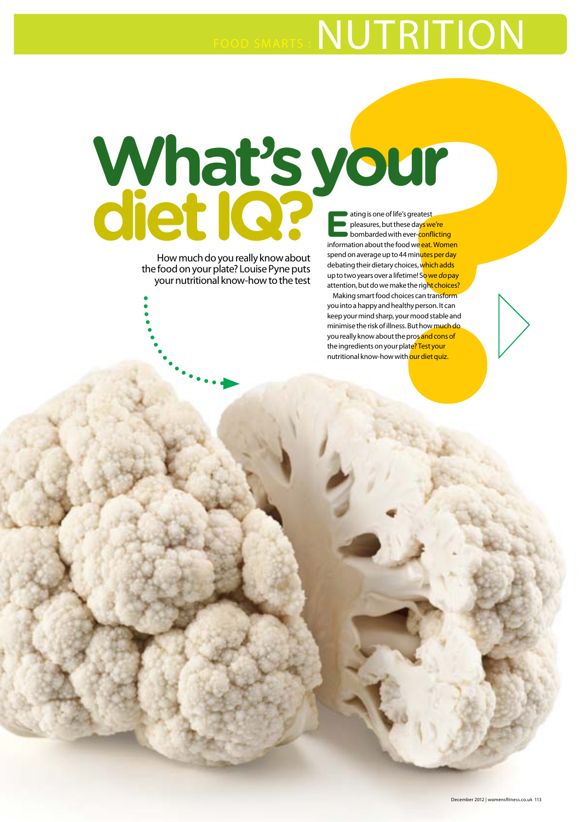# FOOD SMARTS : NUTRITION

# What's your<br>diet IQ? ENDING:<br>Notice that the state of the state of the state of the state of the state of the state of the state of the state of the state of the state of the state of the state of the state of the state of **diet IQ?** ating is one of life's greatest<br>pleasures, but these days we<br>bombarded with ever-conflictness in the section of the section of the section of the section of the section of the section of the section of the section of the s pleasures, but these days we're

How much do you really know about the food on your plate? Louise Pyne puts your nutritional know-how to the test

bombarded with ever-conflicting information about the food we eat. Women spend on average up to 44 minutes per day debating their dietary choices, which adds up to two years over a lifetime! So we do pay attention, but do we make the right choices? Making smart food choices can transform

you into a happy and healthy person. It can keep your mind sharp, your mood stable and minimise the risk of illness. But how much do you really know about the prosand cons of the ingredients on your plate? Test your nutritional know-how with our diet quiz.